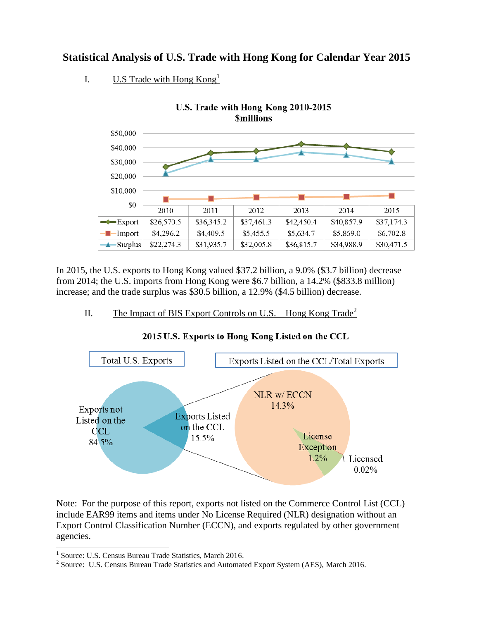## **Statistical Analysis of U.S. Trade with Hong Kong for Calendar Year 2015**

I. U.S Trade with Hong  $Kong<sup>1</sup>$ 



In 2015, the U.S. exports to Hong Kong valued \$37.2 billion, a 9.0% (\$3.7 billion) decrease from 2014; the U.S. imports from Hong Kong were \$6.7 billion, a 14.2% (\$833.8 million) increase; and the trade surplus was \$30.5 billion, a 12.9% (\$4.5 billion) decrease.

II. The Impact of BIS Export Controls on U.S. – Hong Kong Trade<sup>2</sup>





Note: For the purpose of this report, exports not listed on the Commerce Control List (CCL) include EAR99 items and items under No License Required (NLR) designation without an Export Control Classification Number (ECCN), and exports regulated by other government agencies.

 1 Source: U.S. Census Bureau Trade Statistics, March 2016.

<sup>&</sup>lt;sup>2</sup> Source: U.S. Census Bureau Trade Statistics and Automated Export System (AES), March 2016.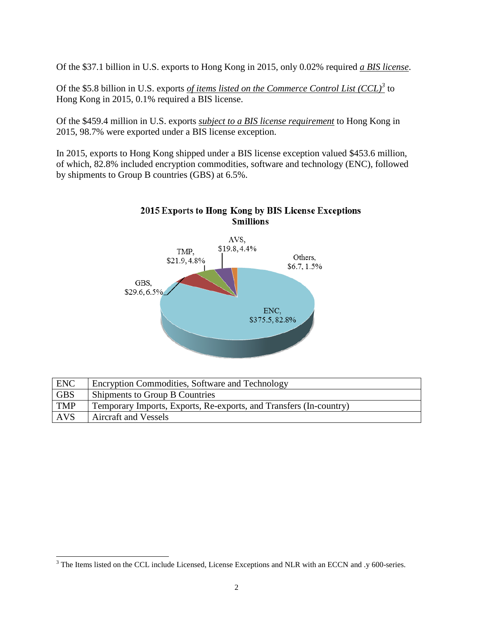Of the \$37.1 billion in U.S. exports to Hong Kong in 2015, only 0.02% required *a BIS license*.

Of the \$5.8 billion in U.S. exports *of items listed on the Commerce Control List (CCL)<sup>3</sup>* to Hong Kong in 2015, 0.1% required a BIS license.

Of the \$459.4 million in U.S. exports *subject to a BIS license requirement* to Hong Kong in 2015, 98.7% were exported under a BIS license exception.

In 2015, exports to Hong Kong shipped under a BIS license exception valued \$453.6 million, of which, 82.8% included encryption commodities, software and technology (ENC), followed by shipments to Group B countries (GBS) at 6.5%.



## 2015 Exports to Hong Kong by BIS License Exceptions **Smillions**

| ENC        | Encryption Commodities, Software and Technology                    |
|------------|--------------------------------------------------------------------|
| <b>GBS</b> | Shipments to Group B Countries                                     |
| <b>TMP</b> | Temporary Imports, Exports, Re-exports, and Transfers (In-country) |
| <b>AVS</b> | <b>Aircraft and Vessels</b>                                        |

 $\overline{a}$  $3$  The Items listed on the CCL include Licensed, License Exceptions and NLR with an ECCN and .y 600-series.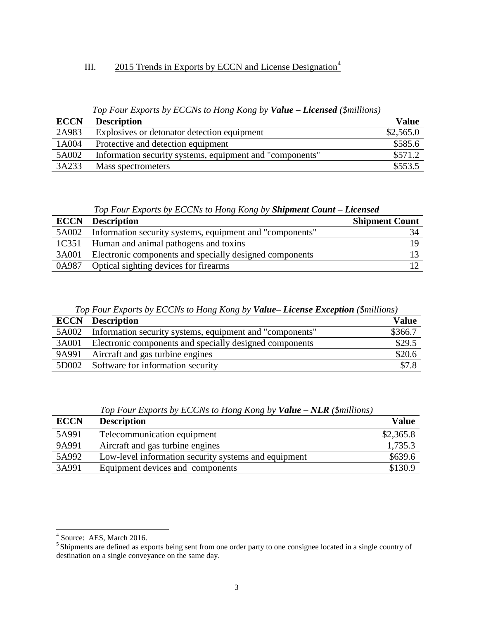## III. 2015 Trends in Exports by ECCN and License Designation<sup>4</sup>

*Top Four Exports by ECCNs to Hong Kong by Value – Licensed (\$millions)*

| <b>ECCN</b> | <b>Description</b>                                       | <b>Value</b> |
|-------------|----------------------------------------------------------|--------------|
| 2A983       | Explosives or detonator detection equipment              | \$2,565.0    |
| 1A004       | Protective and detection equipment                       | \$585.6      |
| 5A002       | Information security systems, equipment and "components" | \$571.2      |
| 3A233       | Mass spectrometers                                       | \$553.5      |

*Top Four Exports by ECCNs to Hong Kong by Shipment Count – Licensed*

| <b>ECCN</b> | <b>Description</b>                                             | <b>Shipment Count</b> |
|-------------|----------------------------------------------------------------|-----------------------|
|             | 5A002 Information security systems, equipment and "components" |                       |
| 1C351       | Human and animal pathogens and toxins                          |                       |
| 3A001       | Electronic components and specially designed components        |                       |
| 0A987       | Optical sighting devices for firearms                          |                       |

*Top Four Exports by ECCNs to Hong Kong by Value– License Exception (\$millions)*

| <b>ECCN</b> | <b>Description</b>                                       | <b>Value</b> |
|-------------|----------------------------------------------------------|--------------|
| 5A002       | Information security systems, equipment and "components" | \$366.7      |
| 3A001       | Electronic components and specially designed components  | \$29.5       |
| 9A991       | Aircraft and gas turbine engines                         | \$20.6       |
| 5D002       | Software for information security                        | \$7.8        |

|  |  |  |  |  |  |  |  |  |  |  | Top Four Exports by ECCNs to Hong Kong by Value - NLR (\$millions) |
|--|--|--|--|--|--|--|--|--|--|--|--------------------------------------------------------------------|
|--|--|--|--|--|--|--|--|--|--|--|--------------------------------------------------------------------|

| <b>ECCN</b> | <b>Description</b>                                   | <b>Value</b> |
|-------------|------------------------------------------------------|--------------|
| 5A991       | Telecommunication equipment                          | \$2,365.8    |
| 9A991       | Aircraft and gas turbine engines                     | 1,735.3      |
| 5A992       | Low-level information security systems and equipment | \$639.6      |
| 3A991       | Equipment devices and components                     | \$130.9      |

 4 Source: AES, March 2016.

<sup>5</sup>Shipments are defined as exports being sent from one order party to one consignee located in a single country of destination on a single conveyance on the same day.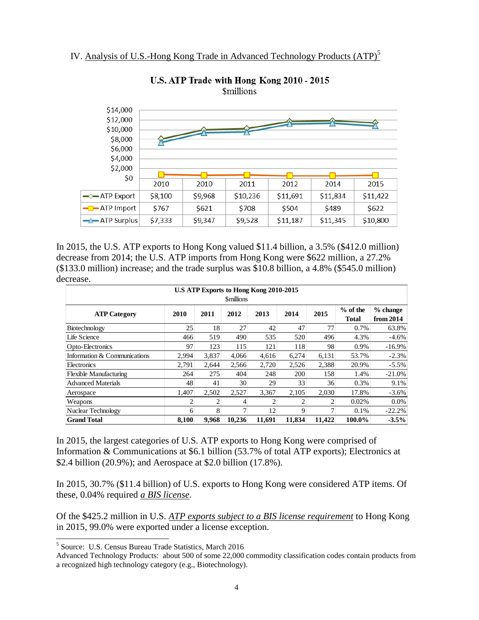

U.S. ATP Trade with Hong Kong 2010 - 2015 *\$millions* 

In 2015, the U.S. ATP exports to Hong Kong valued \$11.4 billion, a 3.5% (\$412.0 million) decrease from 2014; the U.S. ATP imports from Hong Kong were \$622 million, a 27.2% (\$133.0 million) increase; and the trade surplus was \$10.8 billion, a 4.8% (\$545.0 million) decrease.

| U.S ATP Exports to Hong Kong 2010-2015<br><b>Smillions</b> |                |                |        |                |        |        |                            |                         |  |
|------------------------------------------------------------|----------------|----------------|--------|----------------|--------|--------|----------------------------|-------------------------|--|
| <b>ATP Category</b>                                        | 2010           | 2011           | 2012   | 2013           | 2014   | 2015   | $%$ of the<br><b>Total</b> | $%$ change<br>from 2014 |  |
| Biotechnology                                              | 25             | 18             | 27     | 42             | 47     | 77     | 0.7%                       | 63.8%                   |  |
| Life Science                                               | 466            | 519            | 490    | 535            | 520    | 496    | 4.3%                       | $-4.6%$                 |  |
| Opto-Electronics                                           | 97             | 123            | 115    | 121            | 118    | 98     | 0.9%                       | $-16.9%$                |  |
| Information & Communications                               | 2.994          | 3.837          | 4.066  | 4.616          | 6,274  | 6,131  | 53.7%                      | $-2.3%$                 |  |
| Electronics                                                | 2.791          | 2.644          | 2.566  | 2,720          | 2,526  | 2,388  | 20.9%                      | $-5.5%$                 |  |
| <b>Flexible Manufacturing</b>                              | 264            | 275            | 404    | 248            | 200    | 158    | 1.4%                       | $-21.0%$                |  |
| <b>Advanced Materials</b>                                  | 48             | 41             | 30     | 29             | 33     | 36     | 0.3%                       | 9.1%                    |  |
| Aerospace                                                  | 1,407          | 2,502          | 2,527  | 3,367          | 2,105  | 2,030  | 17.8%                      | $-3.6%$                 |  |
| Weapons                                                    | $\overline{c}$ | $\overline{c}$ | 4      | $\overline{c}$ | 2      | 2      | 0.02%                      | $0.0\%$                 |  |
| Nuclear Technology                                         | 6              | 8              | 7      | 12             | 9      | 7      | 0.1%                       | $-22.2%$                |  |
| <b>Grand Total</b>                                         | 8.100          | 9.968          | 10.236 | 11.691         | 11,834 | 11,422 | 100.0%                     | $-3.5%$                 |  |

In 2015, the largest categories of U.S. ATP exports to Hong Kong were comprised of Information & Communications at \$6.1 billion (53.7% of total ATP exports); Electronics at \$2.4 billion (20.9%); and Aerospace at \$2.0 billion (17.8%).

In 2015, 30.7% (\$11.4 billion) of U.S. exports to Hong Kong were considered ATP items. Of these, 0.04% required *a BIS license*.

Of the \$425.2 million in U.S. *ATP exports subject to a BIS license requirement* to Hong Kong in 2015, 99.0% were exported under a license exception.

 $\overline{a}$ 

<sup>5</sup> Source: U.S. Census Bureau Trade Statistics, March 2016

Advanced Technology Products: about 500 of some 22,000 commodity classification codes contain products from a recognized high technology category (e.g., Biotechnology).